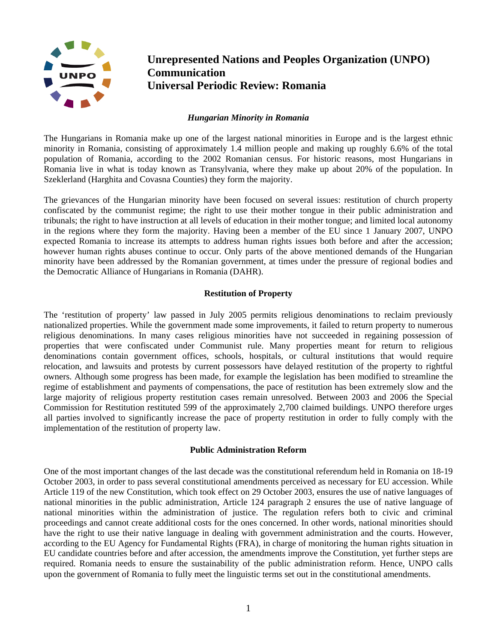

# **Unrepresented Nations and Peoples Organization (UNPO) Communication Universal Periodic Review: Romania**

### *Hungarian Minority in Romania*

The Hungarians in Romania make up one of the largest national minorities in Europe and is the largest ethnic minority in Romania, consisting of approximately 1.4 million people and making up roughly 6.6% of the total population of Romania, according to the 2002 Romanian census. For historic reasons, most Hungarians in Romania live in what is today known as Transylvania, where they make up about 20% of the population. In Szeklerland (Harghita and Covasna Counties) they form the majority.

The grievances of the Hungarian minority have been focused on several issues: restitution of church property confiscated by the communist regime; the right to use their mother tongue in their public administration and tribunals; the right to have instruction at all levels of education in their mother tongue; and limited local autonomy in the regions where they form the majority. Having been a member of the EU since 1 January 2007, UNPO expected Romania to increase its attempts to address human rights issues both before and after the accession; however human rights abuses continue to occur. Only parts of the above mentioned demands of the Hungarian minority have been addressed by the Romanian government, at times under the pressure of regional bodies and the Democratic Alliance of Hungarians in Romania (DAHR).

## **Restitution of Property**

The 'restitution of property' law passed in July 2005 permits religious denominations to reclaim previously nationalized properties. While the government made some improvements, it failed to return property to numerous religious denominations. In many cases religious minorities have not succeeded in regaining possession of properties that were confiscated under Communist rule. Many properties meant for return to religious denominations contain government offices, schools, hospitals, or cultural institutions that would require relocation, and lawsuits and protests by current possessors have delayed restitution of the property to rightful owners. Although some progress has been made, for example the legislation has been modified to streamline the regime of establishment and payments of compensations, the pace of restitution has been extremely slow and the large majority of religious property restitution cases remain unresolved. Between 2003 and 2006 the Special Commission for Restitution restituted 599 of the approximately 2,700 claimed buildings. UNPO therefore urges all parties involved to significantly increase the pace of property restitution in order to fully comply with the implementation of the restitution of property law.

### **Public Administration Reform**

One of the most important changes of the last decade was the constitutional referendum held in Romania on 18-19 October 2003, in order to pass several constitutional amendments perceived as necessary for EU accession. While Article 119 of the new Constitution, which took effect on 29 October 2003, ensures the use of native languages of national minorities in the public administration, Article 124 paragraph 2 ensures the use of native language of national minorities within the administration of justice. The regulation refers both to civic and criminal proceedings and cannot create additional costs for the ones concerned. In other words, national minorities should have the right to use their native language in dealing with government administration and the courts. However, according to the EU Agency for Fundamental Rights (FRA), in charge of monitoring the human rights situation in EU candidate countries before and after accession, the amendments improve the Constitution, yet further steps are required. Romania needs to ensure the sustainability of the public administration reform. Hence, UNPO calls upon the government of Romania to fully meet the linguistic terms set out in the constitutional amendments.